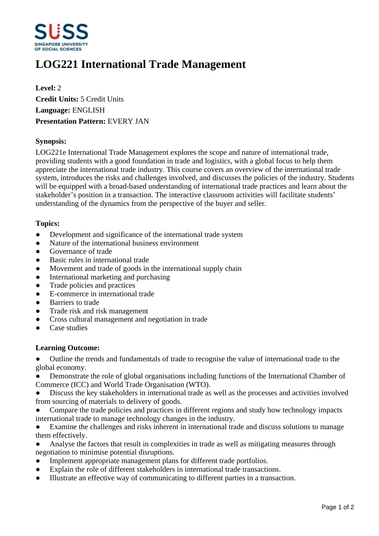

# **LOG221 International Trade Management**

**Level:** 2 **Credit Units:** 5 Credit Units **Language:** ENGLISH **Presentation Pattern:** EVERY JAN

### **Synopsis:**

LOG221e International Trade Management explores the scope and nature of international trade, providing students with a good foundation in trade and logistics, with a global focus to help them appreciate the international trade industry. This course covers an overview of the international trade system, introduces the risks and challenges involved, and discusses the policies of the industry. Students will be equipped with a broad-based understanding of international trade practices and learn about the stakeholder's position in a transaction. The interactive classroom activities will facilitate students' understanding of the dynamics from the perspective of the buyer and seller.

#### **Topics:**

- Development and significance of the international trade system
- Nature of the international business environment
- Governance of trade
- Basic rules in international trade
- Movement and trade of goods in the international supply chain
- International marketing and purchasing
- Trade policies and practices
- E-commerce in international trade
- Barriers to trade
- Trade risk and risk management
- Cross cultural management and negotiation in trade
- Case studies

#### **Learning Outcome:**

• Outline the trends and fundamentals of trade to recognise the value of international trade to the global economy.

Demonstrate the role of global organisations including functions of the International Chamber of Commerce (ICC) and World Trade Organisation (WTO).

- ƔDiscuss the key stakeholders in international trade as well as the processes and activities involved from sourcing of materials to delivery of goods.
- Compare the trade policies and practices in different regions and study how technology impacts international trade to manage technology changes in the industry.

Examine the challenges and risks inherent in international trade and discuss solutions to manage them effectively.

Analyse the factors that result in complexities in trade as well as mitigating measures through negotiation to minimise potential disruptions.

- Implement appropriate management plans for different trade portfolios.
- Explain the role of different stakeholders in international trade transactions.
- ƔIllustrate an effective way of communicating to different parties in a transaction.